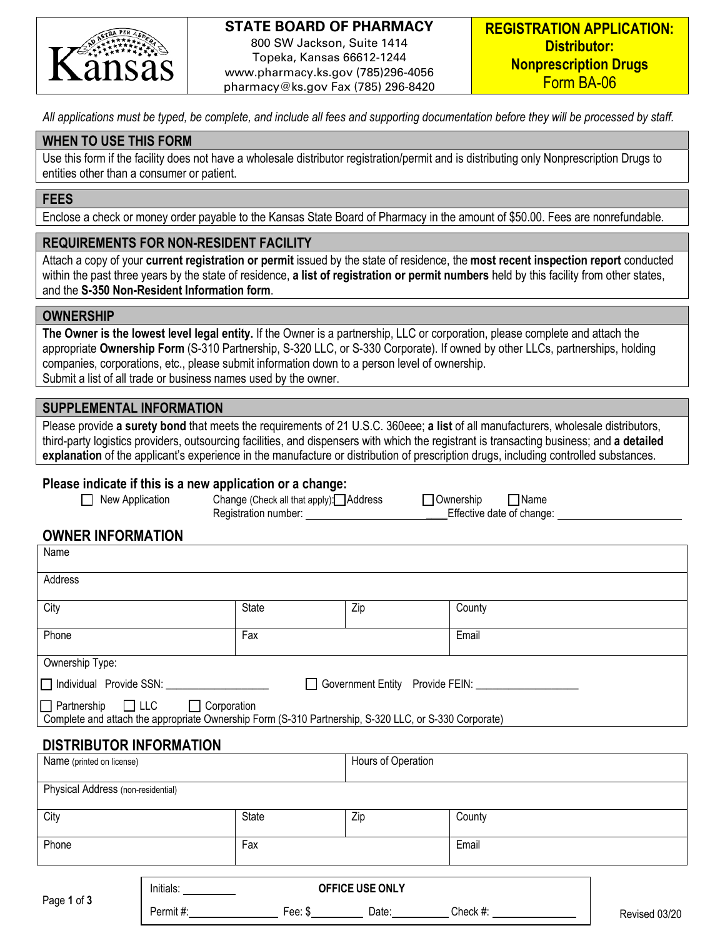

### **STATE BOARD OF PHARMACY**

800 SW Jackson, Suite 1414 Topeka, Kansas 66612-1244 www.pharmacy.ks.gov (785)296-4056 pharmacy@ks.gov Fax (785) 296-8420

*All applications must be typed, be complete, and include all fees and supporting documentation before they will be processed by staff.* 

#### **WHEN TO USE THIS FORM**

Use this form if the facility does not have a wholesale distributor registration/permit and is distributing only Nonprescription Drugs to entities other than a consumer or patient.

#### **FEES**

Enclose a check or money order payable to the Kansas State Board of Pharmacy in the amount of \$50.00. Fees are nonrefundable.

### **REQUIREMENTS FOR NON-RESIDENT FACILITY**

Attach a copy of your **current registration or permit** issued by the state of residence, the **most recent inspection report** conducted within the past three years by the state of residence, **a list of registration or permit numbers** held by this facility from other states, and the **S-350 Non-Resident Information form**.

#### **OWNERSHIP**

**The Owner is the lowest level legal entity.** If the Owner is a partnership, LLC or corporation, please complete and attach the appropriate **Ownership Form** (S-310 Partnership, S-320 LLC, or S-330 Corporate). If owned by other LLCs, partnerships, holding companies, corporations, etc., please submit information down to a person level of ownership. Submit a list of all trade or business names used by the owner.

### **SUPPLEMENTAL INFORMATION**

Please provide **a surety bond** that meets the requirements of 21 U.S.C. 360eee; **a list** of all manufacturers, wholesale distributors, third-party logistics providers, outsourcing facilities, and dispensers with which the registrant is transacting business; and **a detailed explanation** of the applicant's experience in the manufacture or distribution of prescription drugs, including controlled substances.

#### **Please indicate if this is a new application or a change:**

| $\Box$ New Application | Change (Check all that apply): Address | □ Ownership | $\Box$ Name                     |
|------------------------|----------------------------------------|-------------|---------------------------------|
|                        | Registration number:                   |             | <b>Effective date of change</b> |

**Effective date of change:** 

### **OWNER INFORMATION**

| Name                                                                                                  |           |                    |                 |        |  |
|-------------------------------------------------------------------------------------------------------|-----------|--------------------|-----------------|--------|--|
| Address                                                                                               |           |                    |                 |        |  |
| City                                                                                                  |           | <b>State</b>       | Zip             | County |  |
| Phone                                                                                                 |           | Fax                |                 | Email  |  |
| Ownership Type:                                                                                       |           |                    |                 |        |  |
| Government Entity Provide FEIN: COVERNMENT                                                            |           |                    |                 |        |  |
| Partnership LLC Corporation                                                                           |           |                    |                 |        |  |
|                                                                                                       |           |                    |                 |        |  |
| Complete and attach the appropriate Ownership Form (S-310 Partnership, S-320 LLC, or S-330 Corporate) |           |                    |                 |        |  |
| <b>DISTRIBUTOR INFORMATION</b>                                                                        |           |                    |                 |        |  |
| Name (printed on license)                                                                             |           | Hours of Operation |                 |        |  |
| Physical Address (non-residential)                                                                    |           |                    |                 |        |  |
|                                                                                                       |           |                    |                 |        |  |
| City                                                                                                  |           | State              | Zip             | County |  |
| Phone                                                                                                 |           | Fax                |                 | Email  |  |
|                                                                                                       |           |                    |                 |        |  |
|                                                                                                       | Initials: |                    | OFFICE USE ONLY |        |  |
|                                                                                                       |           |                    |                 |        |  |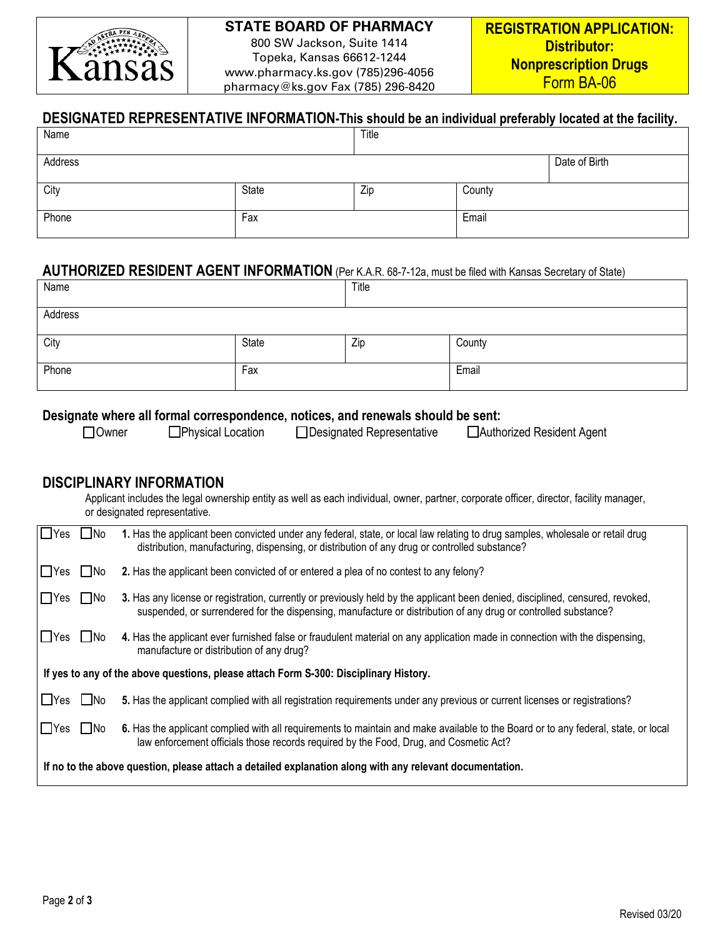

# **STATE BOARD OF PHARMACY**

800 SW Jackson, Suite 1414 Topeka, Kansas 66612-1244 www.pharmacy.ks.gov (785)296-4056 pharmacy@ks.gov Fax (785) 296-8420

# **DESIGNATED REPRESENTATIVE INFORMATION-This should be an individual preferably located at the facility.**

| Name    |       | Title |        |               |
|---------|-------|-------|--------|---------------|
| Address |       |       |        | Date of Birth |
| City    | State | Zip   | County |               |
| Phone   | Fax   |       | Email  |               |

### **AUTHORIZED RESIDENT AGENT INFORMATION** (Per K.A.R. 68-7-12a, must be filed with Kansas Secretary of State)

| Name    |       | Title |        |
|---------|-------|-------|--------|
| Address |       |       |        |
| City    | State | Zip   | County |
| Phone   | Fax   |       | Email  |

### **Designate where all formal correspondence, notices, and renewals should be sent:**

□ Owner DPhysical Location Designated Representative DAuthorized Resident Agent

### **DISCIPLINARY INFORMATION**

Applicant includes the legal ownership entity as well as each individual, owner, partner, corporate officer, director, facility manager, or designated representative.

| I∩Yes ∩No                                                                                                |           | 1. Has the applicant been convicted under any federal, state, or local law relating to drug samples, wholesale or retail drug<br>distribution, manufacturing, dispensing, or distribution of any drug or controlled substance?                   |
|----------------------------------------------------------------------------------------------------------|-----------|--------------------------------------------------------------------------------------------------------------------------------------------------------------------------------------------------------------------------------------------------|
| $\Box$ Yes                                                                                               | $\Box$ No | 2. Has the applicant been convicted of or entered a plea of no contest to any felony?                                                                                                                                                            |
| $\Box$ Yes                                                                                               | $\Box$ No | 3. Has any license or registration, currently or previously held by the applicant been denied, disciplined, censured, revoked,<br>suspended, or surrendered for the dispensing, manufacture or distribution of any drug or controlled substance? |
| $\square$ Yes                                                                                            | $\Box$ No | 4. Has the applicant ever furnished false or fraudulent material on any application made in connection with the dispensing,<br>manufacture or distribution of any drug?                                                                          |
| If yes to any of the above questions, please attach Form S-300: Disciplinary History.                    |           |                                                                                                                                                                                                                                                  |
| $\square$ Yes                                                                                            | l INo     | 5. Has the applicant complied with all registration requirements under any previous or current licenses or registrations?                                                                                                                        |
| $\square$ Yes                                                                                            | $\Box$ No | 6. Has the applicant complied with all requirements to maintain and make available to the Board or to any federal, state, or local<br>law enforcement officials those records required by the Food, Drug, and Cosmetic Act?                      |
| If no to the above question, please attach a detailed explanation along with any relevant documentation. |           |                                                                                                                                                                                                                                                  |